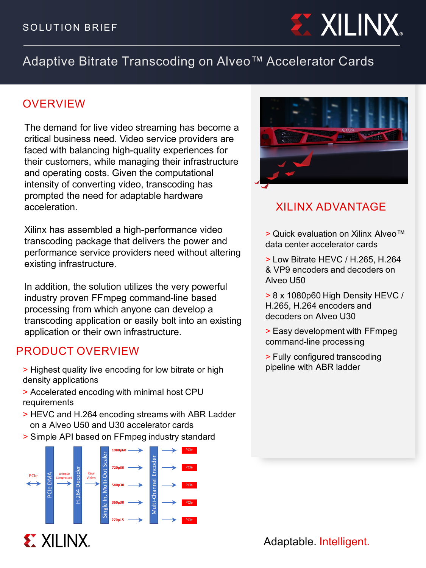

# Adaptive Bitrate Transcoding on Alveo™ Accelerator Cards

### OVERVIEW

The demand for live video streaming has become a critical business need. Video service providers are faced with balancing high-quality experiences for their customers, while managing their infrastructure and operating costs. Given the computational intensity of converting video, transcoding has prompted the need for adaptable hardware acceleration.

Xilinx has assembled a high-performance video transcoding package that delivers the power and performance service providers need without altering existing infrastructure.

In addition, the solution utilizes the very powerful industry proven FFmpeg command-line based processing from which anyone can develop a transcoding application or easily bolt into an existing application or their own infrastructure.

### PRODUCT OVERVIEW

- > Highest quality live encoding for low bitrate or high density applications
- > Accelerated encoding with minimal host CPU requirements
- > HEVC and H.264 encoding streams with ABR Ladder on a Alveo U50 and U30 accelerator cards
- > Simple API based on FFmpeg industry standard





## XILINX ADVANTAGE

> Quick evaluation on Xilinx Alveo™ data center accelerator cards

> Low Bitrate HEVC / H.265, H.264 & VP9 encoders and decoders on Alveo U50

> 8 x 1080p60 High Density HEVC / H.265, H.264 encoders and decoders on Alveo U30

> Easy development with FFmpeg command-line processing

> Fully configured transcoding pipeline with ABR ladder

Adaptable. Intelligent.